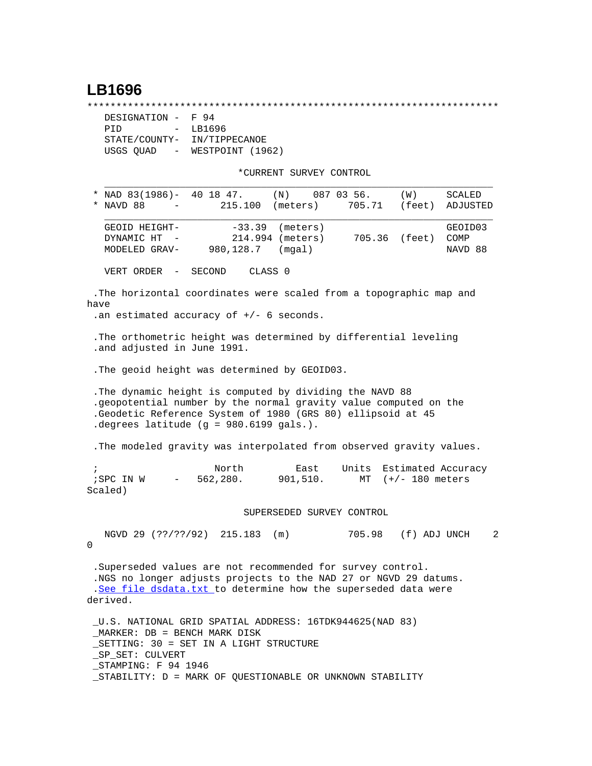## **LB1696**

\*\*\*\*\*\*\*\*\*\*\*\*\*\*\*\*\*\*\*\*\*\*\*\*\*\*\*\*\*\*\*\*\*\*\*\*\*\*\*\*\*\*\*\*\*\*\*\*\*\*\*\*\*\*\*\*\*\*\*\*\*\*\*\*\*\*\*\*\*\*\*

| DESIGNATION -               | F 94             |
|-----------------------------|------------------|
| PTD<br>$-$                  | LB1696           |
| STATE/COUNTY-               | IN/TIPPECANOE    |
|                             |                  |
| USGS QUAD<br>$\sim$ $ \sim$ | WESTPOINT (1962) |

\*CURRENT SURVEY CONTROL

|            |                                                                                                                                                                                                                                              |                       | CUNNENI SUNVEI CONINOL                 |             |                   |                            |
|------------|----------------------------------------------------------------------------------------------------------------------------------------------------------------------------------------------------------------------------------------------|-----------------------|----------------------------------------|-------------|-------------------|----------------------------|
| *          | NAD 83(1986)- 40 18 47.<br>NAVD 88                                                                                                                                                                                                           | 215.100               | $(N)$ 087 03 56.<br>(meters)           | 705.71      | (W)<br>(feet)     | SCALED<br>ADJUSTED         |
|            | GEOID HEIGHT-<br>DYNAMIC HT<br>MODELED GRAV-                                                                                                                                                                                                 | $-33.39$<br>980,128.7 | (meters)<br>214.994 (meters)<br>(mgal) |             | 705.36 (feet)     | GEOID03<br>COMP<br>NAVD 88 |
|            | VERT ORDER<br>$\overline{\phantom{m}}$                                                                                                                                                                                                       | SECOND                | CLASS 0                                |             |                   |                            |
| have       | . The horizontal coordinates were scaled from a topographic map and<br>.an estimated accuracy of $+/-$ 6 seconds.                                                                                                                            |                       |                                        |             |                   |                            |
|            | . The orthometric height was determined by differential leveling<br>.and adjusted in June 1991.                                                                                                                                              |                       |                                        |             |                   |                            |
|            | . The geoid height was determined by GEOID03.                                                                                                                                                                                                |                       |                                        |             |                   |                            |
|            | . The dynamic height is computed by dividing the NAVD 88<br>.geopotential number by the normal gravity value computed on the<br>.Geodetic Reference System of 1980 (GRS 80) ellipsoid at 45<br>.degrees latitude (g = 980.6199 gals.).       |                       |                                        |             |                   |                            |
|            | . The modeled gravity was interpolated from observed gravity values.                                                                                                                                                                         |                       |                                        |             |                   |                            |
| $\ddot{i}$ | ;SPC IN W<br>$\frac{1}{2}$ and $\frac{1}{2}$<br>Scaled)                                                                                                                                                                                      | North<br>562,280.     | East<br>901,510.                       | Units<br>MT | $(+/- 180$ meters | Estimated Accuracy         |
|            |                                                                                                                                                                                                                                              |                       | SUPERSEDED SURVEY CONTROL              |             |                   |                            |
| 0          | NGVD 29 (??/??/92) 215.183 (m)                                                                                                                                                                                                               |                       |                                        | 705.98      | (f) ADJ UNCH      | 2                          |
|            | .Superseded values are not recommended for survey control.<br>.NGS no longer adjusts projects to the NAD 27 or NGVD 29 datums.<br>.See file dsdata.txt to determine how the superseded data were<br>derived.                                 |                       |                                        |             |                   |                            |
|            | _U.S. NATIONAL GRID SPATIAL ADDRESS: 16TDK944625(NAD 83)<br>$MARKER: DB = BENCH MARK DISK$<br>_SETTING: 30 = SET IN A LIGHT STRUCTURE<br>SP SET: CULVERT<br>STAMPING: F 94 1946<br>_STABILITY: D = MARK OF QUESTIONABLE OR UNKNOWN STABILITY |                       |                                        |             |                   |                            |